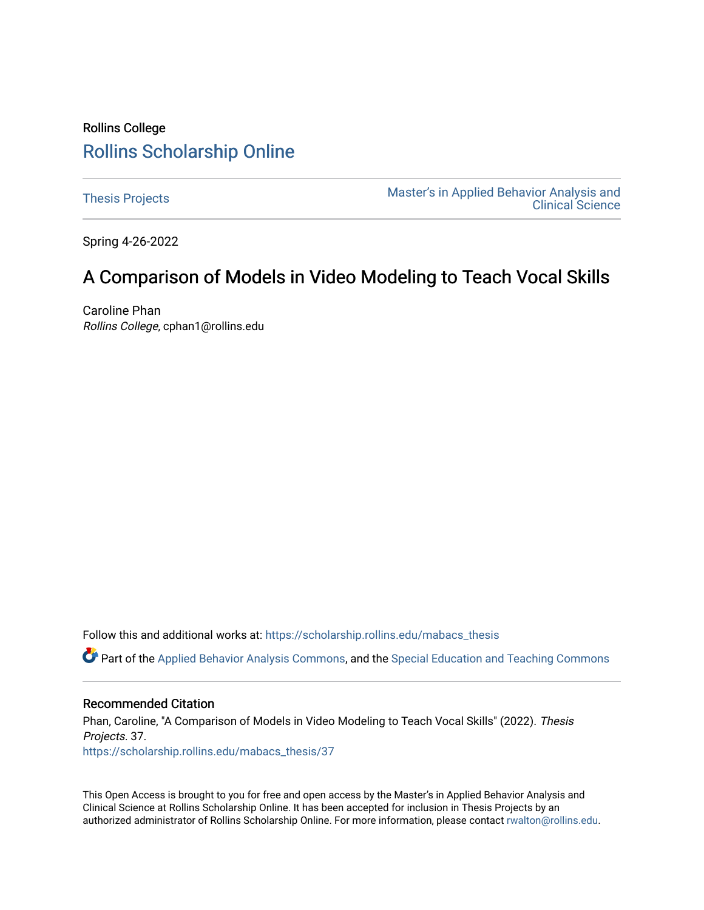## Rollins College [Rollins Scholarship Online](https://scholarship.rollins.edu/)

[Thesis Projects](https://scholarship.rollins.edu/mabacs_thesis) **Master's in Applied Behavior Analysis and** Master's in Applied Behavior Analysis and [Clinical Science](https://scholarship.rollins.edu/mabacs) 

Spring 4-26-2022

# A Comparison of Models in Video Modeling to Teach Vocal Skills

Caroline Phan Rollins College, cphan1@rollins.edu

Follow this and additional works at: [https://scholarship.rollins.edu/mabacs\\_thesis](https://scholarship.rollins.edu/mabacs_thesis?utm_source=scholarship.rollins.edu%2Fmabacs_thesis%2F37&utm_medium=PDF&utm_campaign=PDFCoverPages) 

Part of the [Applied Behavior Analysis Commons](https://network.bepress.com/hgg/discipline/1235?utm_source=scholarship.rollins.edu%2Fmabacs_thesis%2F37&utm_medium=PDF&utm_campaign=PDFCoverPages), and the [Special Education and Teaching Commons](https://network.bepress.com/hgg/discipline/801?utm_source=scholarship.rollins.edu%2Fmabacs_thesis%2F37&utm_medium=PDF&utm_campaign=PDFCoverPages)

#### Recommended Citation

Phan, Caroline, "A Comparison of Models in Video Modeling to Teach Vocal Skills" (2022). Thesis Projects. 37. [https://scholarship.rollins.edu/mabacs\\_thesis/37](https://scholarship.rollins.edu/mabacs_thesis/37?utm_source=scholarship.rollins.edu%2Fmabacs_thesis%2F37&utm_medium=PDF&utm_campaign=PDFCoverPages) 

This Open Access is brought to you for free and open access by the Master's in Applied Behavior Analysis and Clinical Science at Rollins Scholarship Online. It has been accepted for inclusion in Thesis Projects by an authorized administrator of Rollins Scholarship Online. For more information, please contact [rwalton@rollins.edu](mailto:rwalton@rollins.edu).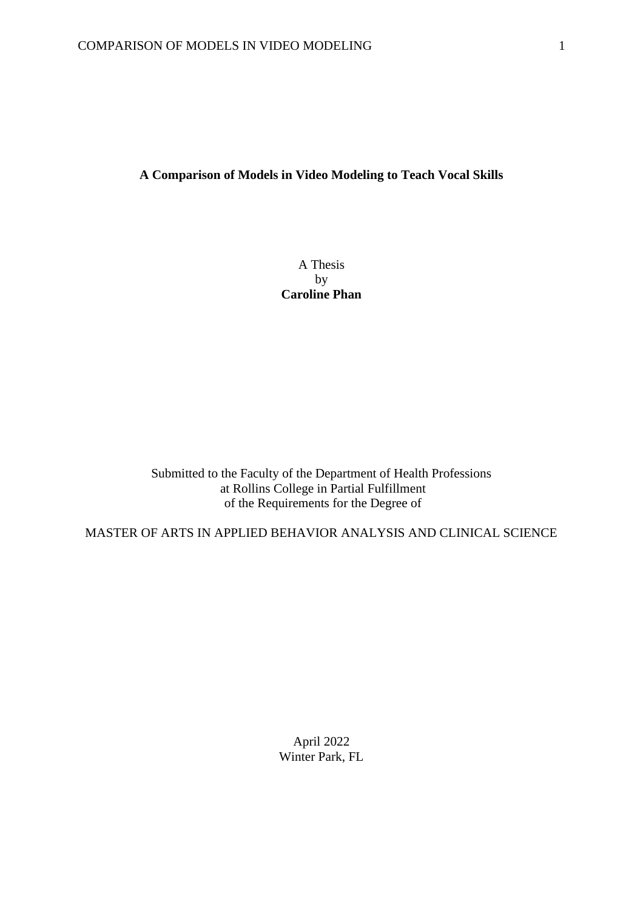## **A Comparison of Models in Video Modeling to Teach Vocal Skills**

A Thesis by **Caroline Phan**

Submitted to the Faculty of the Department of Health Professions at Rollins College in Partial Fulfillment of the Requirements for the Degree of

MASTER OF ARTS IN APPLIED BEHAVIOR ANALYSIS AND CLINICAL SCIENCE

April 2022 Winter Park, FL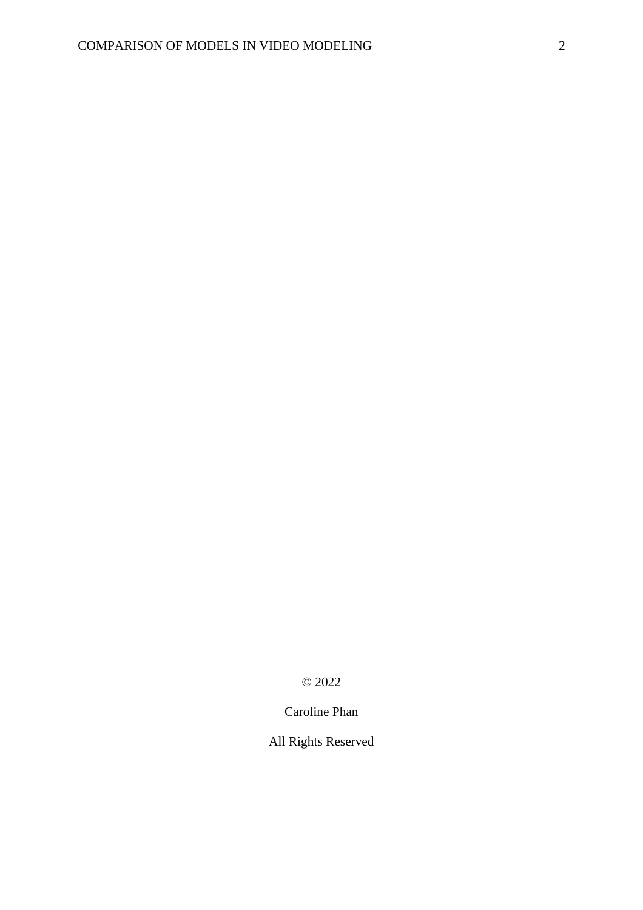© 2022

Caroline Phan

All Rights Reserved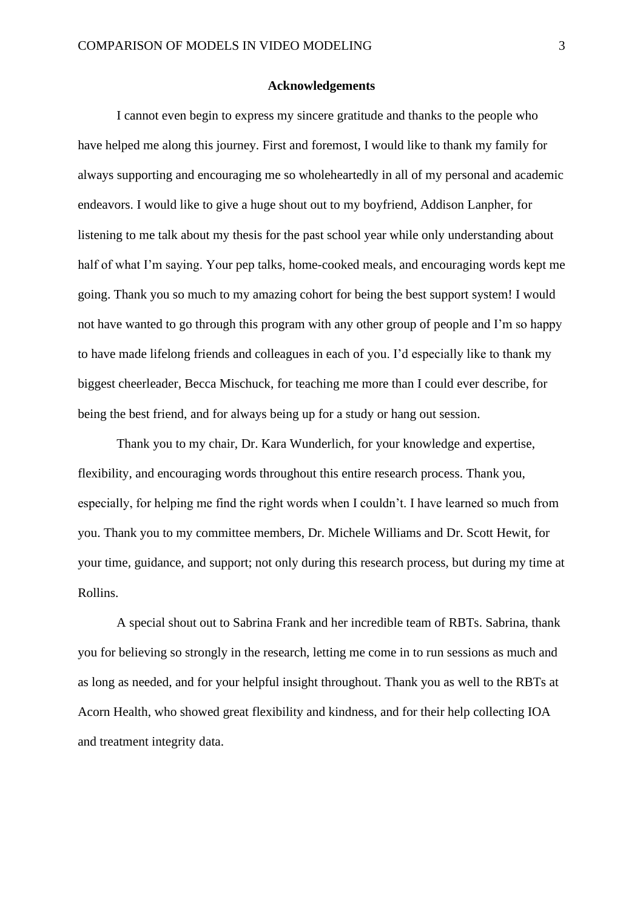#### **Acknowledgements**

I cannot even begin to express my sincere gratitude and thanks to the people who have helped me along this journey. First and foremost, I would like to thank my family for always supporting and encouraging me so wholeheartedly in all of my personal and academic endeavors. I would like to give a huge shout out to my boyfriend, Addison Lanpher, for listening to me talk about my thesis for the past school year while only understanding about half of what I'm saying. Your pep talks, home-cooked meals, and encouraging words kept me going. Thank you so much to my amazing cohort for being the best support system! I would not have wanted to go through this program with any other group of people and I'm so happy to have made lifelong friends and colleagues in each of you. I'd especially like to thank my biggest cheerleader, Becca Mischuck, for teaching me more than I could ever describe, for being the best friend, and for always being up for a study or hang out session.

Thank you to my chair, Dr. Kara Wunderlich, for your knowledge and expertise, flexibility, and encouraging words throughout this entire research process. Thank you, especially, for helping me find the right words when I couldn't. I have learned so much from you. Thank you to my committee members, Dr. Michele Williams and Dr. Scott Hewit, for your time, guidance, and support; not only during this research process, but during my time at Rollins.

A special shout out to Sabrina Frank and her incredible team of RBTs. Sabrina, thank you for believing so strongly in the research, letting me come in to run sessions as much and as long as needed, and for your helpful insight throughout. Thank you as well to the RBTs at Acorn Health, who showed great flexibility and kindness, and for their help collecting IOA and treatment integrity data.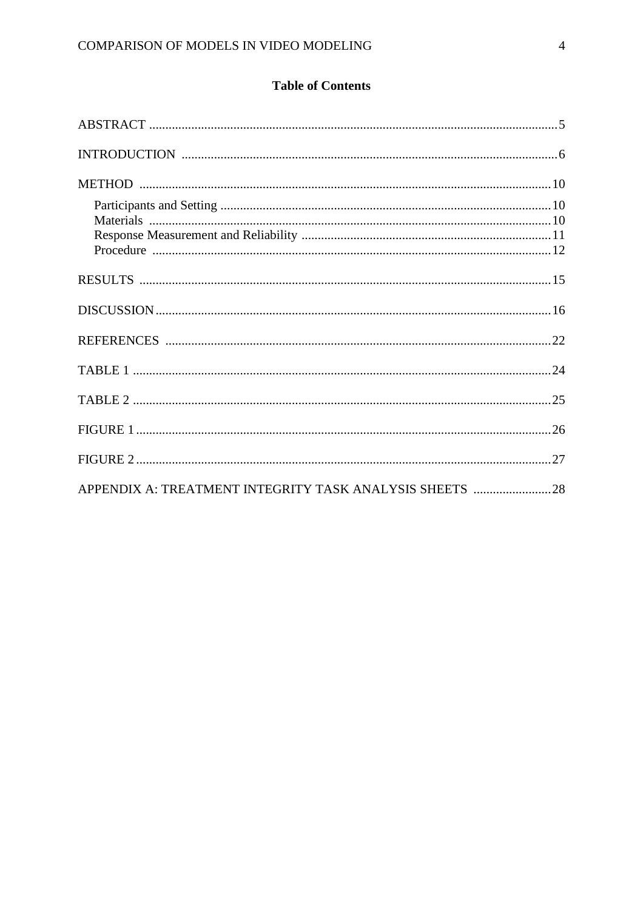## **Table of Contents**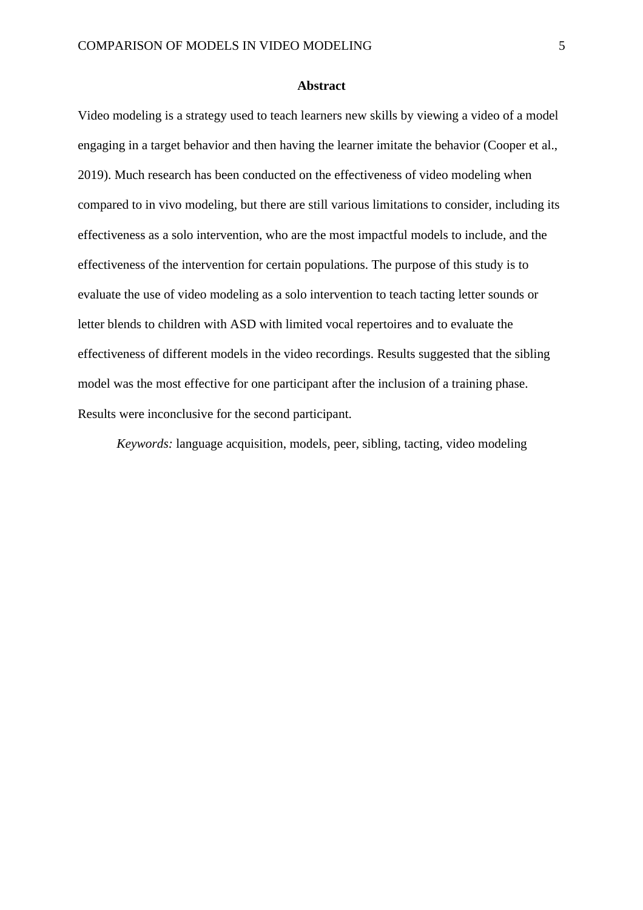#### **Abstract**

Video modeling is a strategy used to teach learners new skills by viewing a video of a model engaging in a target behavior and then having the learner imitate the behavior (Cooper et al., 2019). Much research has been conducted on the effectiveness of video modeling when compared to in vivo modeling, but there are still various limitations to consider, including its effectiveness as a solo intervention, who are the most impactful models to include, and the effectiveness of the intervention for certain populations. The purpose of this study is to evaluate the use of video modeling as a solo intervention to teach tacting letter sounds or letter blends to children with ASD with limited vocal repertoires and to evaluate the effectiveness of different models in the video recordings. Results suggested that the sibling model was the most effective for one participant after the inclusion of a training phase. Results were inconclusive for the second participant.

*Keywords:* language acquisition, models, peer, sibling, tacting, video modeling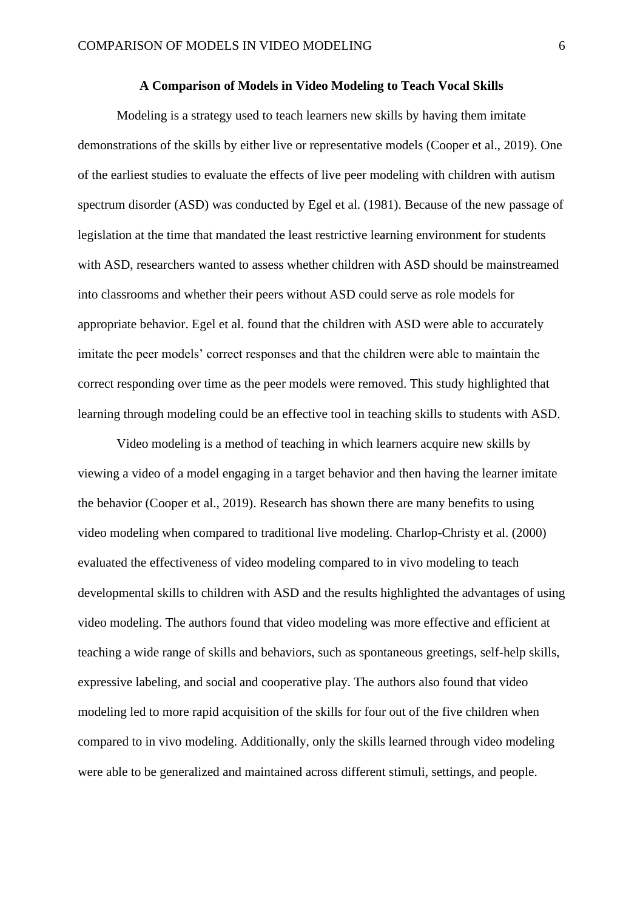#### **A Comparison of Models in Video Modeling to Teach Vocal Skills**

Modeling is a strategy used to teach learners new skills by having them imitate demonstrations of the skills by either live or representative models (Cooper et al., 2019). One of the earliest studies to evaluate the effects of live peer modeling with children with autism spectrum disorder (ASD) was conducted by Egel et al. (1981). Because of the new passage of legislation at the time that mandated the least restrictive learning environment for students with ASD, researchers wanted to assess whether children with ASD should be mainstreamed into classrooms and whether their peers without ASD could serve as role models for appropriate behavior. Egel et al. found that the children with ASD were able to accurately imitate the peer models' correct responses and that the children were able to maintain the correct responding over time as the peer models were removed. This study highlighted that learning through modeling could be an effective tool in teaching skills to students with ASD.

Video modeling is a method of teaching in which learners acquire new skills by viewing a video of a model engaging in a target behavior and then having the learner imitate the behavior (Cooper et al., 2019). Research has shown there are many benefits to using video modeling when compared to traditional live modeling. Charlop-Christy et al. (2000) evaluated the effectiveness of video modeling compared to in vivo modeling to teach developmental skills to children with ASD and the results highlighted the advantages of using video modeling. The authors found that video modeling was more effective and efficient at teaching a wide range of skills and behaviors, such as spontaneous greetings, self-help skills, expressive labeling, and social and cooperative play. The authors also found that video modeling led to more rapid acquisition of the skills for four out of the five children when compared to in vivo modeling. Additionally, only the skills learned through video modeling were able to be generalized and maintained across different stimuli, settings, and people.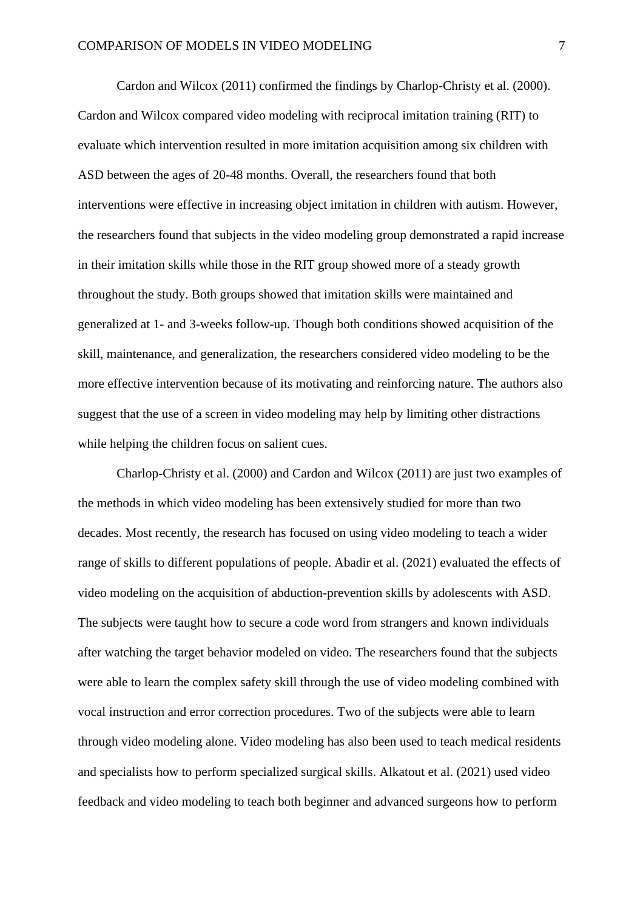Cardon and Wilcox (2011) confirmed the findings by Charlop-Christy et al. (2000). Cardon and Wilcox compared video modeling with reciprocal imitation training (RIT) to evaluate which intervention resulted in more imitation acquisition among six children with ASD between the ages of 20-48 months. Overall, the researchers found that both interventions were effective in increasing object imitation in children with autism. However, the researchers found that subjects in the video modeling group demonstrated a rapid increase in their imitation skills while those in the RIT group showed more of a steady growth throughout the study. Both groups showed that imitation skills were maintained and generalized at 1- and 3-weeks follow-up. Though both conditions showed acquisition of the skill, maintenance, and generalization, the researchers considered video modeling to be the more effective intervention because of its motivating and reinforcing nature. The authors also suggest that the use of a screen in video modeling may help by limiting other distractions while helping the children focus on salient cues.

Charlop-Christy et al. (2000) and Cardon and Wilcox (2011) are just two examples of the methods in which video modeling has been extensively studied for more than two decades. Most recently, the research has focused on using video modeling to teach a wider range of skills to different populations of people. Abadir et al. (2021) evaluated the effects of video modeling on the acquisition of abduction-prevention skills by adolescents with ASD. The subjects were taught how to secure a code word from strangers and known individuals after watching the target behavior modeled on video. The researchers found that the subjects were able to learn the complex safety skill through the use of video modeling combined with vocal instruction and error correction procedures. Two of the subjects were able to learn through video modeling alone. Video modeling has also been used to teach medical residents and specialists how to perform specialized surgical skills. Alkatout et al. (2021) used video feedback and video modeling to teach both beginner and advanced surgeons how to perform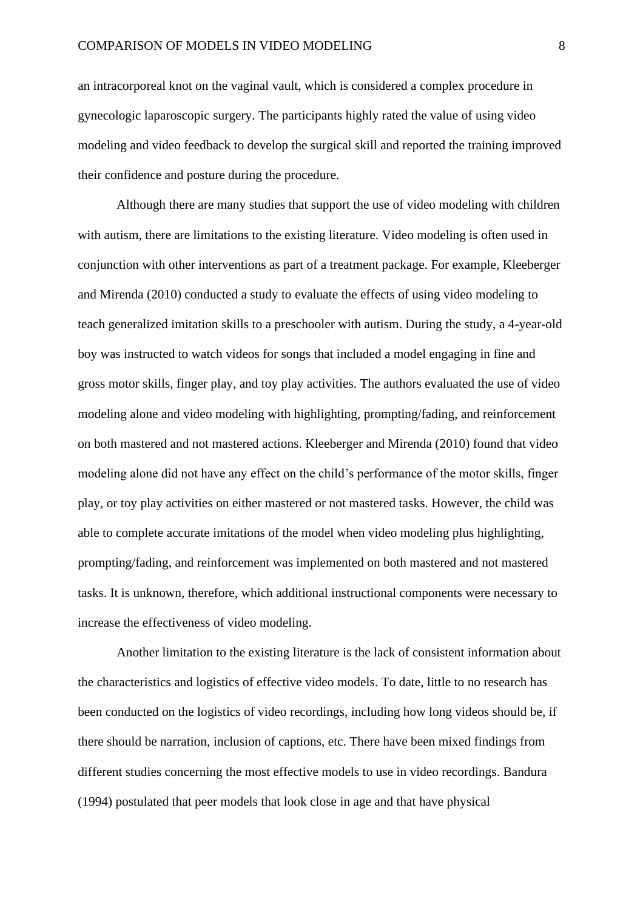an intracorporeal knot on the vaginal vault, which is considered a complex procedure in gynecologic laparoscopic surgery. The participants highly rated the value of using video modeling and video feedback to develop the surgical skill and reported the training improved their confidence and posture during the procedure.

Although there are many studies that support the use of video modeling with children with autism, there are limitations to the existing literature. Video modeling is often used in conjunction with other interventions as part of a treatment package. For example, Kleeberger and Mirenda (2010) conducted a study to evaluate the effects of using video modeling to teach generalized imitation skills to a preschooler with autism. During the study, a 4-year-old boy was instructed to watch videos for songs that included a model engaging in fine and gross motor skills, finger play, and toy play activities. The authors evaluated the use of video modeling alone and video modeling with highlighting, prompting/fading, and reinforcement on both mastered and not mastered actions. Kleeberger and Mirenda (2010) found that video modeling alone did not have any effect on the child's performance of the motor skills, finger play, or toy play activities on either mastered or not mastered tasks. However, the child was able to complete accurate imitations of the model when video modeling plus highlighting, prompting/fading, and reinforcement was implemented on both mastered and not mastered tasks. It is unknown, therefore, which additional instructional components were necessary to increase the effectiveness of video modeling.

Another limitation to the existing literature is the lack of consistent information about the characteristics and logistics of effective video models. To date, little to no research has been conducted on the logistics of video recordings, including how long videos should be, if there should be narration, inclusion of captions, etc. There have been mixed findings from different studies concerning the most effective models to use in video recordings. Bandura (1994) postulated that peer models that look close in age and that have physical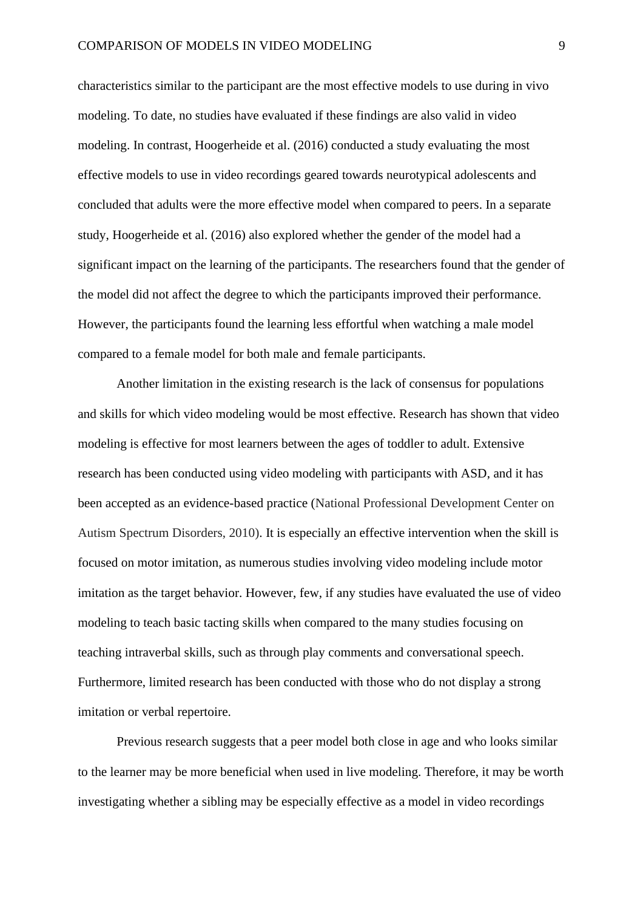characteristics similar to the participant are the most effective models to use during in vivo modeling. To date, no studies have evaluated if these findings are also valid in video modeling. In contrast, Hoogerheide et al. (2016) conducted a study evaluating the most effective models to use in video recordings geared towards neurotypical adolescents and concluded that adults were the more effective model when compared to peers. In a separate study, Hoogerheide et al. (2016) also explored whether the gender of the model had a significant impact on the learning of the participants. The researchers found that the gender of the model did not affect the degree to which the participants improved their performance. However, the participants found the learning less effortful when watching a male model compared to a female model for both male and female participants.

Another limitation in the existing research is the lack of consensus for populations and skills for which video modeling would be most effective. Research has shown that video modeling is effective for most learners between the ages of toddler to adult. Extensive research has been conducted using video modeling with participants with ASD, and it has been accepted as an evidence-based practice (National Professional Development Center on Autism Spectrum Disorders, 2010). It is especially an effective intervention when the skill is focused on motor imitation, as numerous studies involving video modeling include motor imitation as the target behavior. However, few, if any studies have evaluated the use of video modeling to teach basic tacting skills when compared to the many studies focusing on teaching intraverbal skills, such as through play comments and conversational speech. Furthermore, limited research has been conducted with those who do not display a strong imitation or verbal repertoire.

Previous research suggests that a peer model both close in age and who looks similar to the learner may be more beneficial when used in live modeling. Therefore, it may be worth investigating whether a sibling may be especially effective as a model in video recordings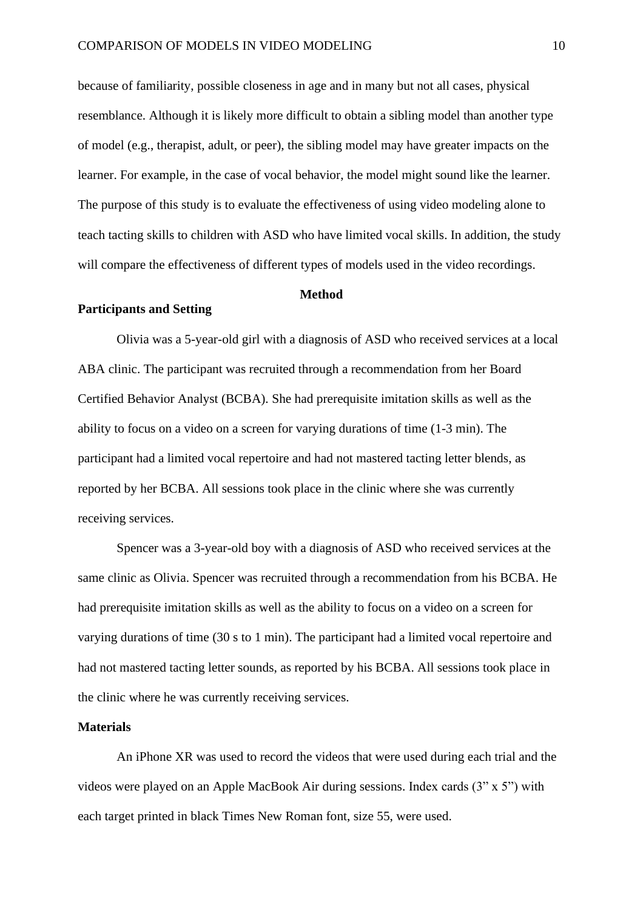because of familiarity, possible closeness in age and in many but not all cases, physical resemblance. Although it is likely more difficult to obtain a sibling model than another type of model (e.g., therapist, adult, or peer), the sibling model may have greater impacts on the learner. For example, in the case of vocal behavior, the model might sound like the learner. The purpose of this study is to evaluate the effectiveness of using video modeling alone to teach tacting skills to children with ASD who have limited vocal skills. In addition, the study will compare the effectiveness of different types of models used in the video recordings.

#### **Method**

#### **Participants and Setting**

Olivia was a 5-year-old girl with a diagnosis of ASD who received services at a local ABA clinic. The participant was recruited through a recommendation from her Board Certified Behavior Analyst (BCBA). She had prerequisite imitation skills as well as the ability to focus on a video on a screen for varying durations of time (1-3 min). The participant had a limited vocal repertoire and had not mastered tacting letter blends, as reported by her BCBA. All sessions took place in the clinic where she was currently receiving services.

Spencer was a 3-year-old boy with a diagnosis of ASD who received services at the same clinic as Olivia. Spencer was recruited through a recommendation from his BCBA. He had prerequisite imitation skills as well as the ability to focus on a video on a screen for varying durations of time (30 s to 1 min). The participant had a limited vocal repertoire and had not mastered tacting letter sounds, as reported by his BCBA. All sessions took place in the clinic where he was currently receiving services.

### **Materials**

An iPhone XR was used to record the videos that were used during each trial and the videos were played on an Apple MacBook Air during sessions. Index cards (3" x 5") with each target printed in black Times New Roman font, size 55, were used.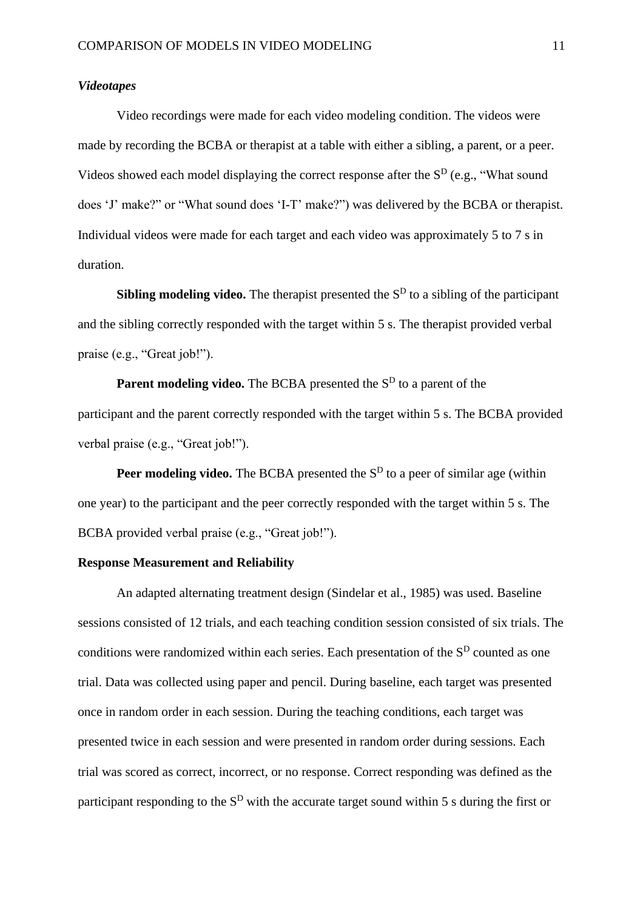#### *Videotapes*

Video recordings were made for each video modeling condition. The videos were made by recording the BCBA or therapist at a table with either a sibling, a parent, or a peer. Videos showed each model displaying the correct response after the  $S<sup>D</sup>$  (e.g., "What sound does 'J' make?" or "What sound does 'I-T' make?") was delivered by the BCBA or therapist. Individual videos were made for each target and each video was approximately 5 to 7 s in duration.

**Sibling modeling video.** The therapist presented the S<sup>D</sup> to a sibling of the participant and the sibling correctly responded with the target within 5 s. The therapist provided verbal praise (e.g., "Great job!").

**Parent modeling video.** The BCBA presented the S<sup>D</sup> to a parent of the participant and the parent correctly responded with the target within 5 s. The BCBA provided verbal praise (e.g., "Great job!").

**Peer modeling video.** The BCBA presented the S<sup>D</sup> to a peer of similar age (within one year) to the participant and the peer correctly responded with the target within 5 s. The BCBA provided verbal praise (e.g., "Great job!").

### **Response Measurement and Reliability**

An adapted alternating treatment design (Sindelar et al., 1985) was used. Baseline sessions consisted of 12 trials, and each teaching condition session consisted of six trials. The conditions were randomized within each series. Each presentation of the  $S<sup>D</sup>$  counted as one trial. Data was collected using paper and pencil. During baseline, each target was presented once in random order in each session. During the teaching conditions, each target was presented twice in each session and were presented in random order during sessions. Each trial was scored as correct, incorrect, or no response. Correct responding was defined as the participant responding to the  $S<sup>D</sup>$  with the accurate target sound within 5 s during the first or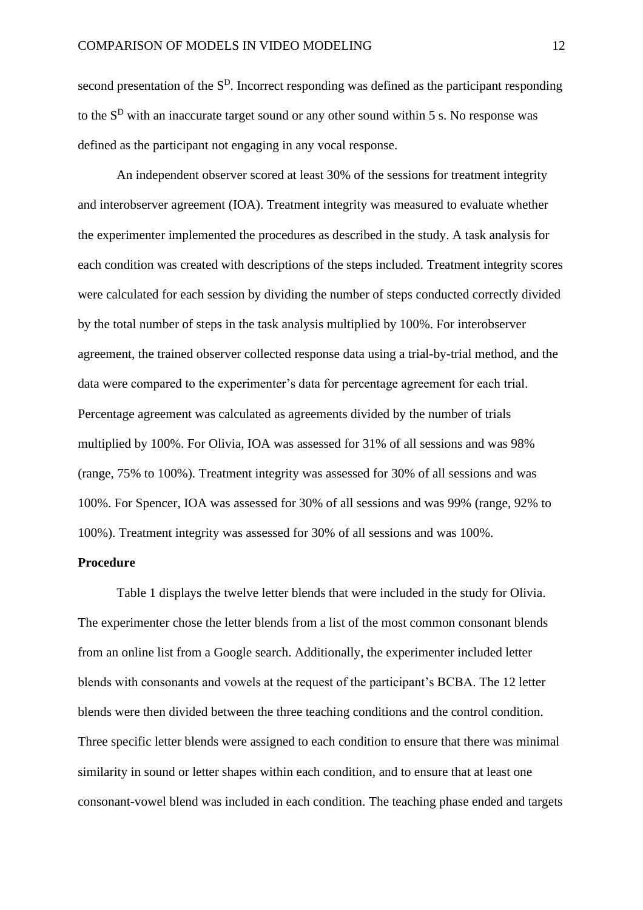second presentation of the  $S<sup>D</sup>$ . Incorrect responding was defined as the participant responding to the  $S<sup>D</sup>$  with an inaccurate target sound or any other sound within 5 s. No response was defined as the participant not engaging in any vocal response.

An independent observer scored at least 30% of the sessions for treatment integrity and interobserver agreement (IOA). Treatment integrity was measured to evaluate whether the experimenter implemented the procedures as described in the study. A task analysis for each condition was created with descriptions of the steps included. Treatment integrity scores were calculated for each session by dividing the number of steps conducted correctly divided by the total number of steps in the task analysis multiplied by 100%. For interobserver agreement, the trained observer collected response data using a trial-by-trial method, and the data were compared to the experimenter's data for percentage agreement for each trial. Percentage agreement was calculated as agreements divided by the number of trials multiplied by 100%. For Olivia, IOA was assessed for 31% of all sessions and was 98% (range, 75% to 100%). Treatment integrity was assessed for 30% of all sessions and was 100%. For Spencer, IOA was assessed for 30% of all sessions and was 99% (range, 92% to 100%). Treatment integrity was assessed for 30% of all sessions and was 100%.

#### **Procedure**

Table 1 displays the twelve letter blends that were included in the study for Olivia. The experimenter chose the letter blends from a list of the most common consonant blends from an online list from a Google search. Additionally, the experimenter included letter blends with consonants and vowels at the request of the participant's BCBA. The 12 letter blends were then divided between the three teaching conditions and the control condition. Three specific letter blends were assigned to each condition to ensure that there was minimal similarity in sound or letter shapes within each condition, and to ensure that at least one consonant-vowel blend was included in each condition. The teaching phase ended and targets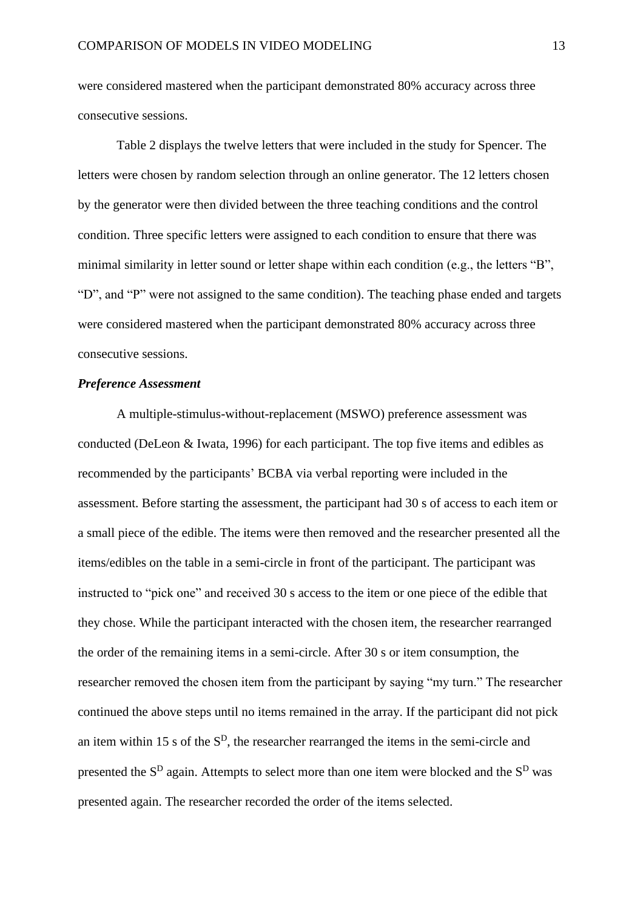were considered mastered when the participant demonstrated 80% accuracy across three consecutive sessions.

Table 2 displays the twelve letters that were included in the study for Spencer. The letters were chosen by random selection through an online generator. The 12 letters chosen by the generator were then divided between the three teaching conditions and the control condition. Three specific letters were assigned to each condition to ensure that there was minimal similarity in letter sound or letter shape within each condition (e.g., the letters "B", "D", and "P" were not assigned to the same condition). The teaching phase ended and targets were considered mastered when the participant demonstrated 80% accuracy across three consecutive sessions.

### *Preference Assessment*

A multiple-stimulus-without-replacement (MSWO) preference assessment was conducted (DeLeon & Iwata, 1996) for each participant. The top five items and edibles as recommended by the participants' BCBA via verbal reporting were included in the assessment. Before starting the assessment, the participant had 30 s of access to each item or a small piece of the edible. The items were then removed and the researcher presented all the items/edibles on the table in a semi-circle in front of the participant. The participant was instructed to "pick one" and received 30 s access to the item or one piece of the edible that they chose. While the participant interacted with the chosen item, the researcher rearranged the order of the remaining items in a semi-circle. After 30 s or item consumption, the researcher removed the chosen item from the participant by saying "my turn." The researcher continued the above steps until no items remained in the array. If the participant did not pick an item within 15 s of the  $S<sup>D</sup>$ , the researcher rearranged the items in the semi-circle and presented the  $S<sup>D</sup>$  again. Attempts to select more than one item were blocked and the  $S<sup>D</sup>$  was presented again. The researcher recorded the order of the items selected.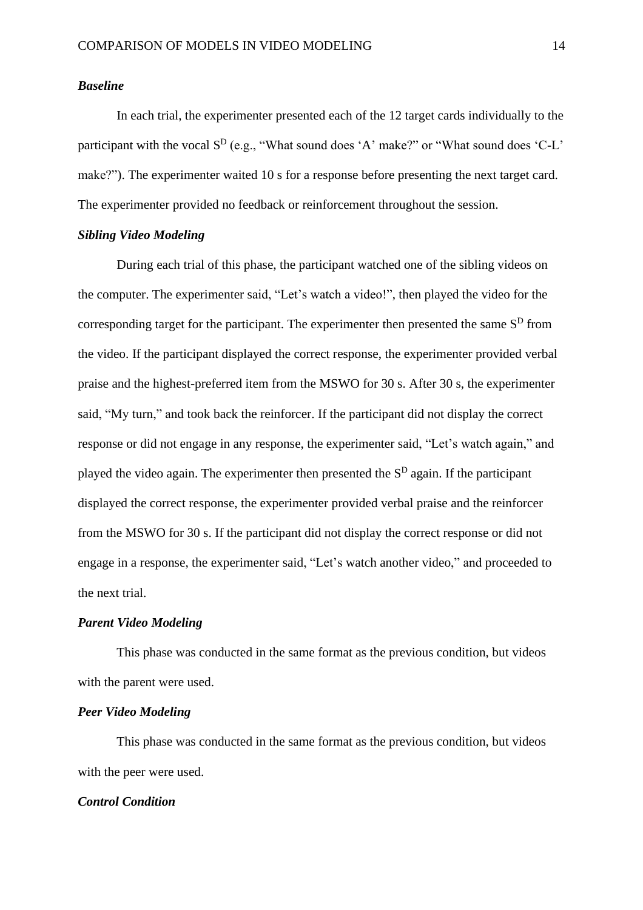#### *Baseline*

In each trial, the experimenter presented each of the 12 target cards individually to the participant with the vocal  $S^D$  (e.g., "What sound does 'A' make?" or "What sound does 'C-L' make?"). The experimenter waited 10 s for a response before presenting the next target card. The experimenter provided no feedback or reinforcement throughout the session.

### *Sibling Video Modeling*

During each trial of this phase, the participant watched one of the sibling videos on the computer. The experimenter said, "Let's watch a video!", then played the video for the corresponding target for the participant. The experimenter then presented the same  $S<sup>D</sup>$  from the video. If the participant displayed the correct response, the experimenter provided verbal praise and the highest-preferred item from the MSWO for 30 s. After 30 s, the experimenter said, "My turn," and took back the reinforcer. If the participant did not display the correct response or did not engage in any response, the experimenter said, "Let's watch again," and played the video again. The experimenter then presented the  $S<sup>D</sup>$  again. If the participant displayed the correct response, the experimenter provided verbal praise and the reinforcer from the MSWO for 30 s. If the participant did not display the correct response or did not engage in a response, the experimenter said, "Let's watch another video," and proceeded to the next trial.

#### *Parent Video Modeling*

This phase was conducted in the same format as the previous condition, but videos with the parent were used.

#### *Peer Video Modeling*

This phase was conducted in the same format as the previous condition, but videos with the peer were used.

#### *Control Condition*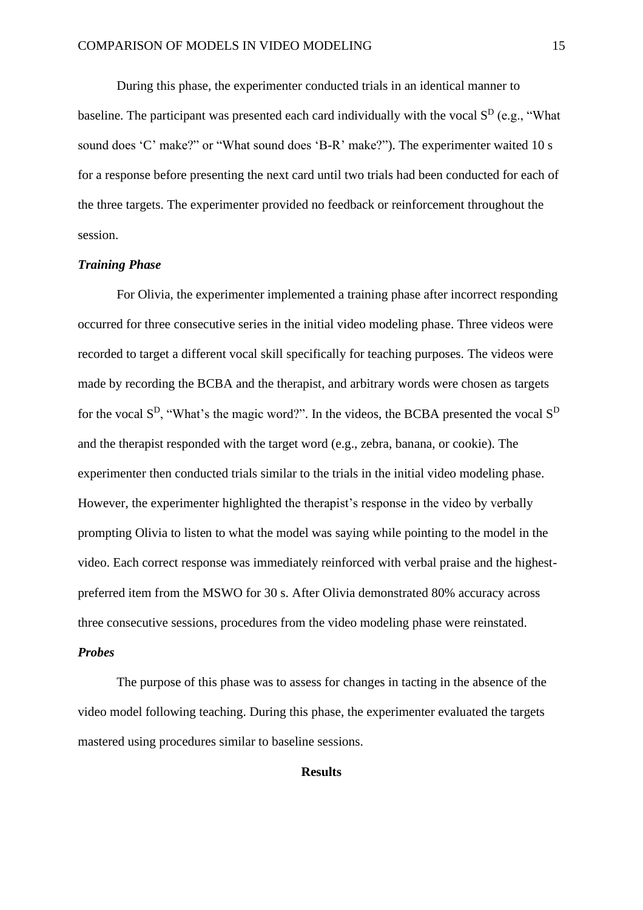During this phase, the experimenter conducted trials in an identical manner to baseline. The participant was presented each card individually with the vocal  $S<sup>D</sup>$  (e.g., "What sound does 'C' make?" or "What sound does 'B-R' make?"). The experimenter waited 10 s for a response before presenting the next card until two trials had been conducted for each of the three targets. The experimenter provided no feedback or reinforcement throughout the session.

#### *Training Phase*

For Olivia, the experimenter implemented a training phase after incorrect responding occurred for three consecutive series in the initial video modeling phase. Three videos were recorded to target a different vocal skill specifically for teaching purposes. The videos were made by recording the BCBA and the therapist, and arbitrary words were chosen as targets for the vocal  $S^D$ , "What's the magic word?". In the videos, the BCBA presented the vocal  $S^D$ and the therapist responded with the target word (e.g., zebra, banana, or cookie). The experimenter then conducted trials similar to the trials in the initial video modeling phase. However, the experimenter highlighted the therapist's response in the video by verbally prompting Olivia to listen to what the model was saying while pointing to the model in the video. Each correct response was immediately reinforced with verbal praise and the highestpreferred item from the MSWO for 30 s. After Olivia demonstrated 80% accuracy across three consecutive sessions, procedures from the video modeling phase were reinstated. *Probes*

The purpose of this phase was to assess for changes in tacting in the absence of the video model following teaching. During this phase, the experimenter evaluated the targets mastered using procedures similar to baseline sessions.

#### **Results**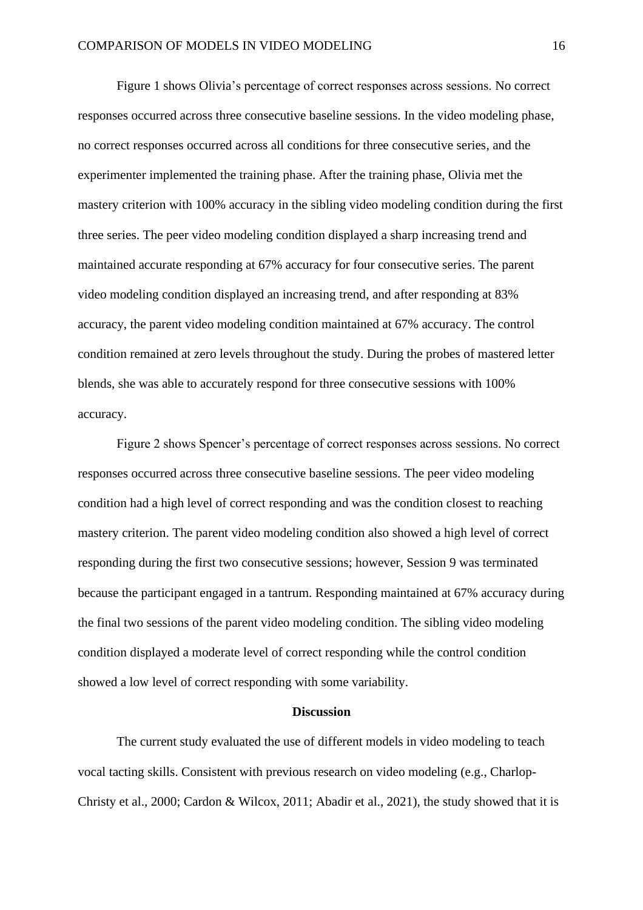Figure 1 shows Olivia's percentage of correct responses across sessions. No correct responses occurred across three consecutive baseline sessions. In the video modeling phase, no correct responses occurred across all conditions for three consecutive series, and the experimenter implemented the training phase. After the training phase, Olivia met the mastery criterion with 100% accuracy in the sibling video modeling condition during the first three series. The peer video modeling condition displayed a sharp increasing trend and maintained accurate responding at 67% accuracy for four consecutive series. The parent video modeling condition displayed an increasing trend, and after responding at 83% accuracy, the parent video modeling condition maintained at 67% accuracy. The control condition remained at zero levels throughout the study. During the probes of mastered letter blends, she was able to accurately respond for three consecutive sessions with 100% accuracy.

Figure 2 shows Spencer's percentage of correct responses across sessions. No correct responses occurred across three consecutive baseline sessions. The peer video modeling condition had a high level of correct responding and was the condition closest to reaching mastery criterion. The parent video modeling condition also showed a high level of correct responding during the first two consecutive sessions; however, Session 9 was terminated because the participant engaged in a tantrum. Responding maintained at 67% accuracy during the final two sessions of the parent video modeling condition. The sibling video modeling condition displayed a moderate level of correct responding while the control condition showed a low level of correct responding with some variability.

#### **Discussion**

The current study evaluated the use of different models in video modeling to teach vocal tacting skills. Consistent with previous research on video modeling (e.g., Charlop-Christy et al., 2000; Cardon & Wilcox, 2011; Abadir et al., 2021), the study showed that it is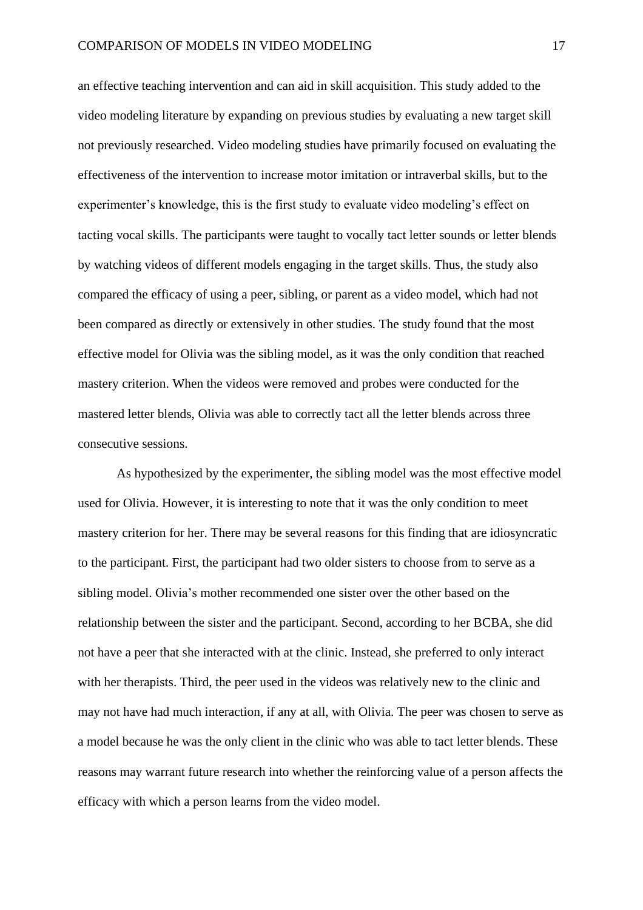an effective teaching intervention and can aid in skill acquisition. This study added to the video modeling literature by expanding on previous studies by evaluating a new target skill not previously researched. Video modeling studies have primarily focused on evaluating the effectiveness of the intervention to increase motor imitation or intraverbal skills, but to the experimenter's knowledge, this is the first study to evaluate video modeling's effect on tacting vocal skills. The participants were taught to vocally tact letter sounds or letter blends by watching videos of different models engaging in the target skills. Thus, the study also compared the efficacy of using a peer, sibling, or parent as a video model, which had not been compared as directly or extensively in other studies. The study found that the most effective model for Olivia was the sibling model, as it was the only condition that reached mastery criterion. When the videos were removed and probes were conducted for the mastered letter blends, Olivia was able to correctly tact all the letter blends across three consecutive sessions.

As hypothesized by the experimenter, the sibling model was the most effective model used for Olivia. However, it is interesting to note that it was the only condition to meet mastery criterion for her. There may be several reasons for this finding that are idiosyncratic to the participant. First, the participant had two older sisters to choose from to serve as a sibling model. Olivia's mother recommended one sister over the other based on the relationship between the sister and the participant. Second, according to her BCBA, she did not have a peer that she interacted with at the clinic. Instead, she preferred to only interact with her therapists. Third, the peer used in the videos was relatively new to the clinic and may not have had much interaction, if any at all, with Olivia. The peer was chosen to serve as a model because he was the only client in the clinic who was able to tact letter blends. These reasons may warrant future research into whether the reinforcing value of a person affects the efficacy with which a person learns from the video model.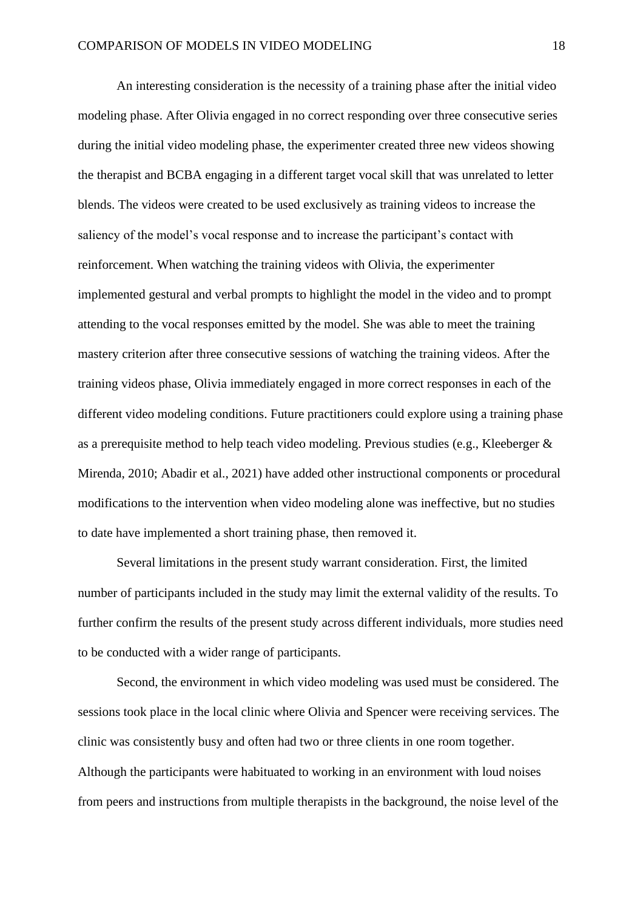An interesting consideration is the necessity of a training phase after the initial video modeling phase. After Olivia engaged in no correct responding over three consecutive series during the initial video modeling phase, the experimenter created three new videos showing the therapist and BCBA engaging in a different target vocal skill that was unrelated to letter blends. The videos were created to be used exclusively as training videos to increase the saliency of the model's vocal response and to increase the participant's contact with reinforcement. When watching the training videos with Olivia, the experimenter implemented gestural and verbal prompts to highlight the model in the video and to prompt attending to the vocal responses emitted by the model. She was able to meet the training mastery criterion after three consecutive sessions of watching the training videos. After the training videos phase, Olivia immediately engaged in more correct responses in each of the different video modeling conditions. Future practitioners could explore using a training phase as a prerequisite method to help teach video modeling. Previous studies (e.g., Kleeberger & Mirenda, 2010; Abadir et al., 2021) have added other instructional components or procedural modifications to the intervention when video modeling alone was ineffective, but no studies to date have implemented a short training phase, then removed it.

Several limitations in the present study warrant consideration. First, the limited number of participants included in the study may limit the external validity of the results. To further confirm the results of the present study across different individuals, more studies need to be conducted with a wider range of participants.

Second, the environment in which video modeling was used must be considered. The sessions took place in the local clinic where Olivia and Spencer were receiving services. The clinic was consistently busy and often had two or three clients in one room together. Although the participants were habituated to working in an environment with loud noises from peers and instructions from multiple therapists in the background, the noise level of the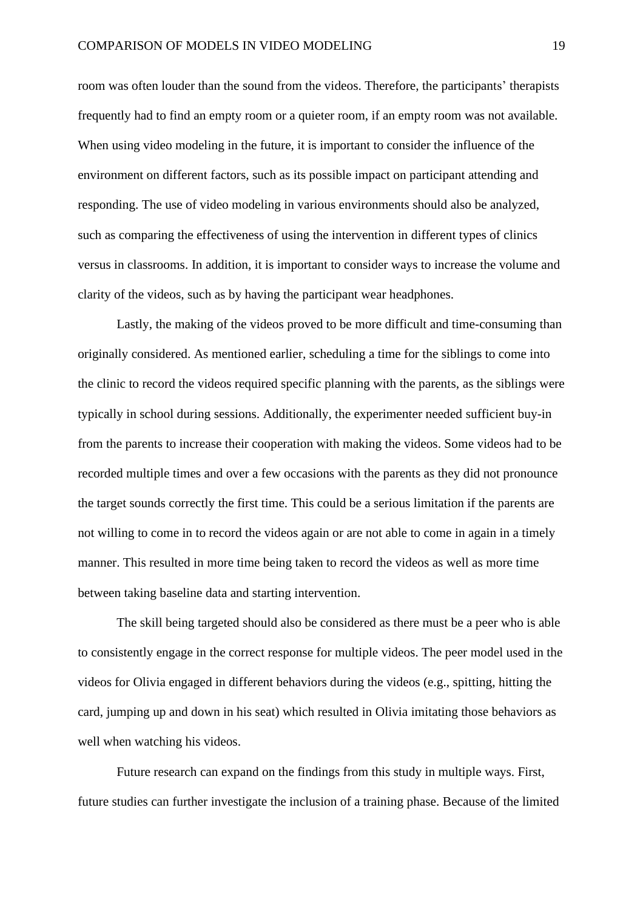room was often louder than the sound from the videos. Therefore, the participants' therapists frequently had to find an empty room or a quieter room, if an empty room was not available. When using video modeling in the future, it is important to consider the influence of the environment on different factors, such as its possible impact on participant attending and responding. The use of video modeling in various environments should also be analyzed, such as comparing the effectiveness of using the intervention in different types of clinics versus in classrooms. In addition, it is important to consider ways to increase the volume and clarity of the videos, such as by having the participant wear headphones.

Lastly, the making of the videos proved to be more difficult and time-consuming than originally considered. As mentioned earlier, scheduling a time for the siblings to come into the clinic to record the videos required specific planning with the parents, as the siblings were typically in school during sessions. Additionally, the experimenter needed sufficient buy-in from the parents to increase their cooperation with making the videos. Some videos had to be recorded multiple times and over a few occasions with the parents as they did not pronounce the target sounds correctly the first time. This could be a serious limitation if the parents are not willing to come in to record the videos again or are not able to come in again in a timely manner. This resulted in more time being taken to record the videos as well as more time between taking baseline data and starting intervention.

The skill being targeted should also be considered as there must be a peer who is able to consistently engage in the correct response for multiple videos. The peer model used in the videos for Olivia engaged in different behaviors during the videos (e.g., spitting, hitting the card, jumping up and down in his seat) which resulted in Olivia imitating those behaviors as well when watching his videos.

Future research can expand on the findings from this study in multiple ways. First, future studies can further investigate the inclusion of a training phase. Because of the limited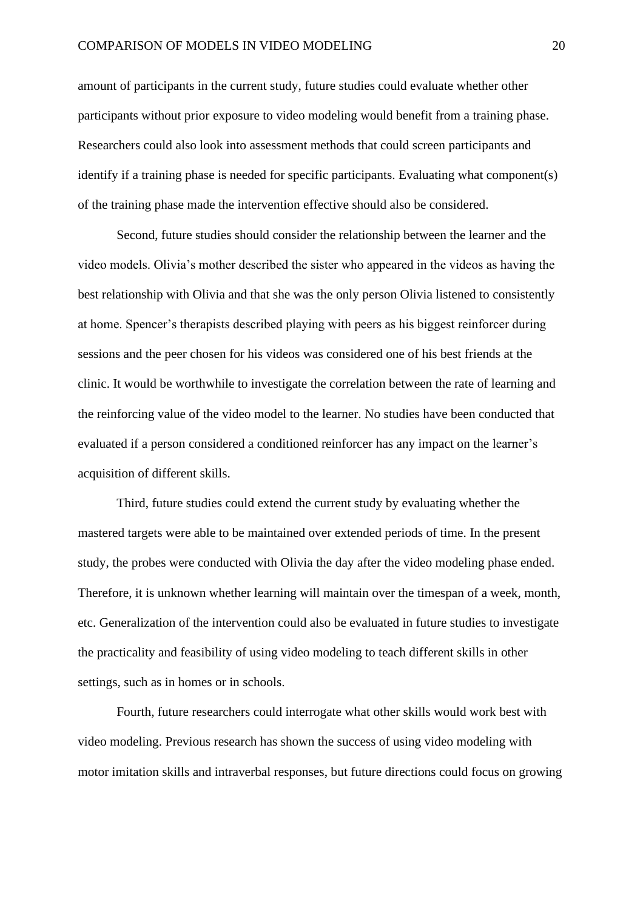amount of participants in the current study, future studies could evaluate whether other participants without prior exposure to video modeling would benefit from a training phase. Researchers could also look into assessment methods that could screen participants and identify if a training phase is needed for specific participants. Evaluating what component(s) of the training phase made the intervention effective should also be considered.

Second, future studies should consider the relationship between the learner and the video models. Olivia's mother described the sister who appeared in the videos as having the best relationship with Olivia and that she was the only person Olivia listened to consistently at home. Spencer's therapists described playing with peers as his biggest reinforcer during sessions and the peer chosen for his videos was considered one of his best friends at the clinic. It would be worthwhile to investigate the correlation between the rate of learning and the reinforcing value of the video model to the learner. No studies have been conducted that evaluated if a person considered a conditioned reinforcer has any impact on the learner's acquisition of different skills.

Third, future studies could extend the current study by evaluating whether the mastered targets were able to be maintained over extended periods of time. In the present study, the probes were conducted with Olivia the day after the video modeling phase ended. Therefore, it is unknown whether learning will maintain over the timespan of a week, month, etc. Generalization of the intervention could also be evaluated in future studies to investigate the practicality and feasibility of using video modeling to teach different skills in other settings, such as in homes or in schools.

Fourth, future researchers could interrogate what other skills would work best with video modeling. Previous research has shown the success of using video modeling with motor imitation skills and intraverbal responses, but future directions could focus on growing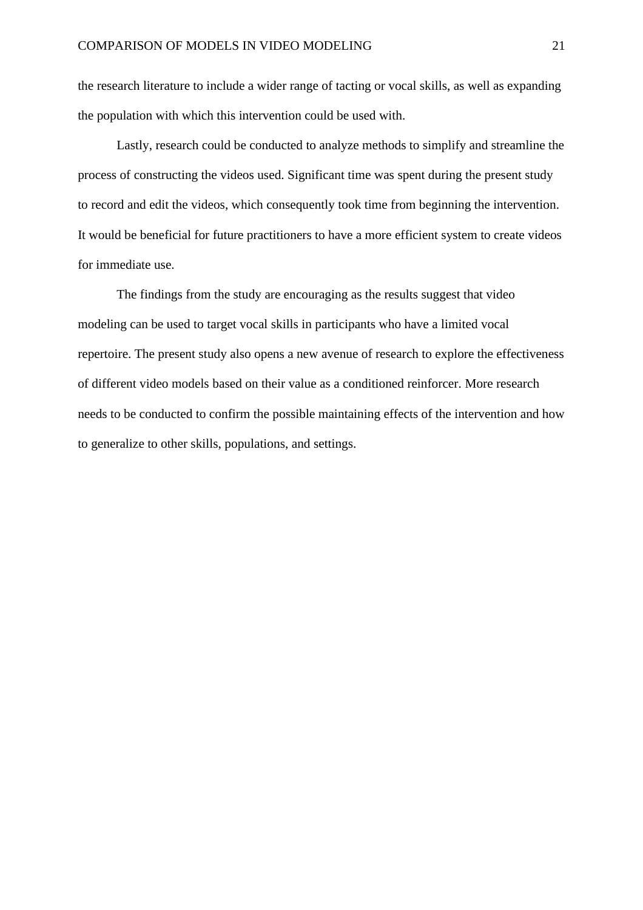the research literature to include a wider range of tacting or vocal skills, as well as expanding the population with which this intervention could be used with.

Lastly, research could be conducted to analyze methods to simplify and streamline the process of constructing the videos used. Significant time was spent during the present study to record and edit the videos, which consequently took time from beginning the intervention. It would be beneficial for future practitioners to have a more efficient system to create videos for immediate use.

The findings from the study are encouraging as the results suggest that video modeling can be used to target vocal skills in participants who have a limited vocal repertoire. The present study also opens a new avenue of research to explore the effectiveness of different video models based on their value as a conditioned reinforcer. More research needs to be conducted to confirm the possible maintaining effects of the intervention and how to generalize to other skills, populations, and settings.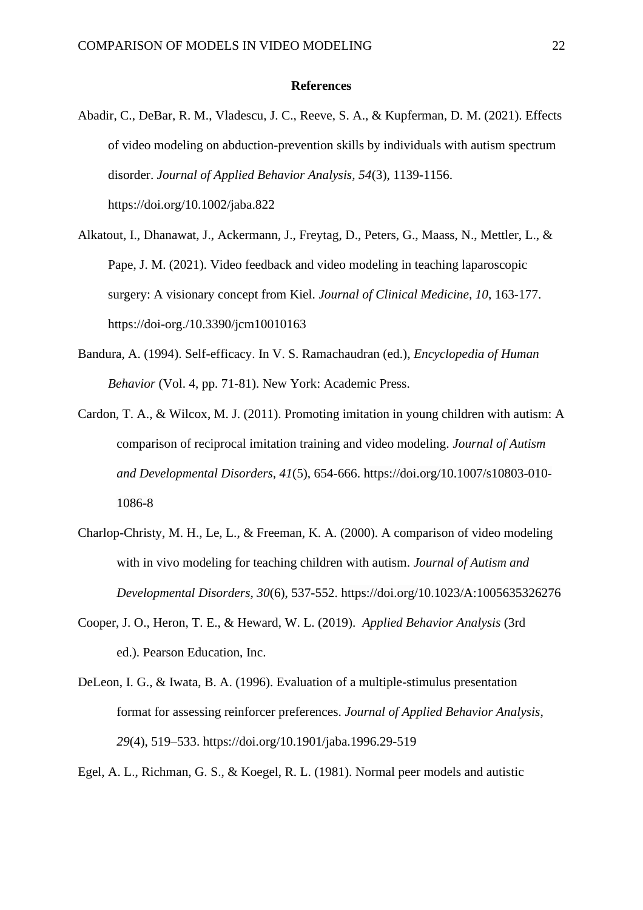#### **References**

- Abadir, C., DeBar, R. M., Vladescu, J. C., Reeve, S. A., & Kupferman, D. M. (2021). Effects of video modeling on abduction-prevention skills by individuals with autism spectrum disorder. *Journal of Applied Behavior Analysis, 54*(3), 1139-1156. https://doi.org/10.1002/jaba.822
- Alkatout, I., Dhanawat, J., Ackermann, J., Freytag, D., Peters, G., Maass, N., Mettler, L., & Pape, J. M. (2021). Video feedback and video modeling in teaching laparoscopic surgery: A visionary concept from Kiel. *Journal of Clinical Medicine, 10*, 163-177. https://doi-org./10.3390/jcm10010163
- Bandura, A. (1994). Self-efficacy. In V. S. Ramachaudran (ed.), *Encyclopedia of Human Behavior* (Vol. 4, pp. 71-81). New York: Academic Press.
- Cardon, T. A., & Wilcox, M. J. (2011). Promoting imitation in young children with autism: A comparison of reciprocal imitation training and video modeling. *Journal of Autism and Developmental Disorders, 41*(5), 654-666. https://doi.org/10.1007/s10803-010- 1086-8
- Charlop-Christy, M. H., Le, L., & Freeman, K. A. (2000). A comparison of video modeling with in vivo modeling for teaching children with autism. *Journal of Autism and Developmental Disorders, 30*(6), 537-552. https://doi.org/10.1023/A:1005635326276
- Cooper, J. O., Heron, T. E., & Heward, W. L. (2019). *Applied Behavior Analysis* (3rd ed.). Pearson Education, Inc.
- DeLeon, I. G., & Iwata, B. A. (1996). Evaluation of a multiple-stimulus presentation format for assessing reinforcer preferences. *Journal of Applied Behavior Analysis*, *29*(4), 519–533. https://doi.org/10.1901/jaba.1996.29-519

Egel, A. L., Richman, G. S., & Koegel, R. L. (1981). Normal peer models and autistic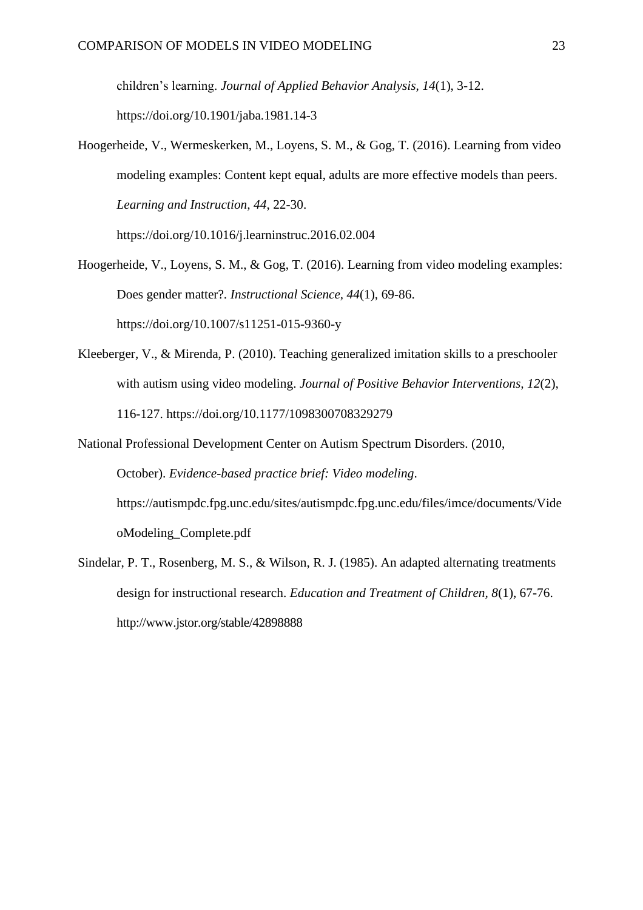children's learning. *Journal of Applied Behavior Analysis, 14*(1), 3-12. https://doi.org/10.1901/jaba.1981.14-3

Hoogerheide, V., Wermeskerken, M., Loyens, S. M., & Gog, T. (2016). Learning from video modeling examples: Content kept equal, adults are more effective models than peers. *Learning and Instruction, 44*, 22-30.

https://doi.org/10.1016/j.learninstruc.2016.02.004

- Hoogerheide, V., Loyens, S. M., & Gog, T. (2016). Learning from video modeling examples: Does gender matter?. *Instructional Science, 44*(1), 69-86. https://doi.org/10.1007/s11251-015-9360-y
- Kleeberger, V., & Mirenda, P. (2010). Teaching generalized imitation skills to a preschooler with autism using video modeling. *Journal of Positive Behavior Interventions, 12*(2), 116-127. https://doi.org/10.1177/1098300708329279
- National Professional Development Center on Autism Spectrum Disorders. (2010, October). *Evidence-based practice brief: Video modeling*. https://autismpdc.fpg.unc.edu/sites/autismpdc.fpg.unc.edu/files/imce/documents/Vide oModeling\_Complete.pdf
- Sindelar, P. T., Rosenberg, M. S., & Wilson, R. J. (1985). An adapted alternating treatments design for instructional research. *Education and Treatment of Children, 8*(1), 67-76. http://www.jstor.org/stable/42898888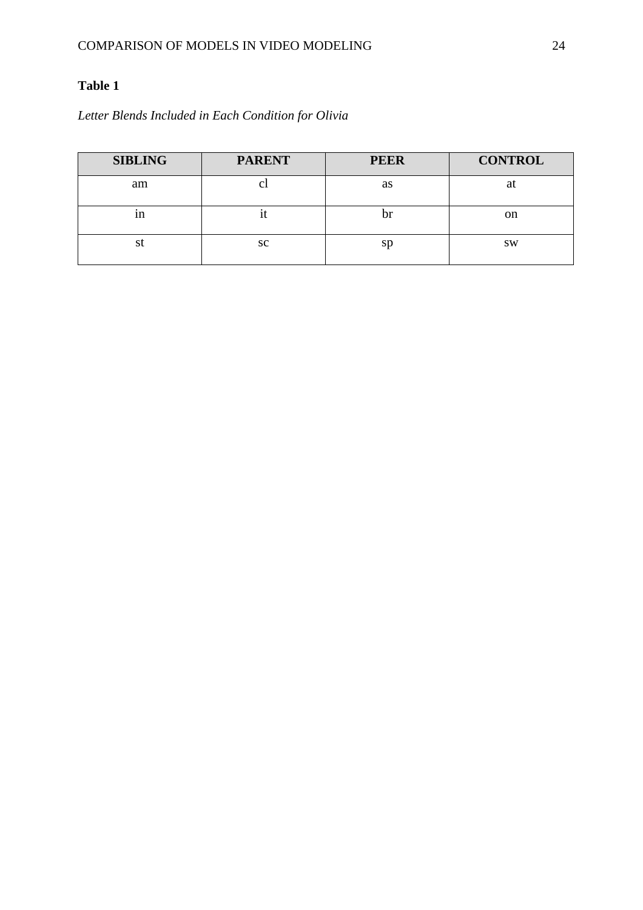## **Table 1**

## *Letter Blends Included in Each Condition for Olivia*

| <b>SIBLING</b> | <b>PARENT</b> | <b>PEER</b> | <b>CONTROL</b> |
|----------------|---------------|-------------|----------------|
| am             | U             | as          | at             |
| 1n             | н.            | IJ          | on             |
| st             | <b>SC</b>     | sp          | <b>SW</b>      |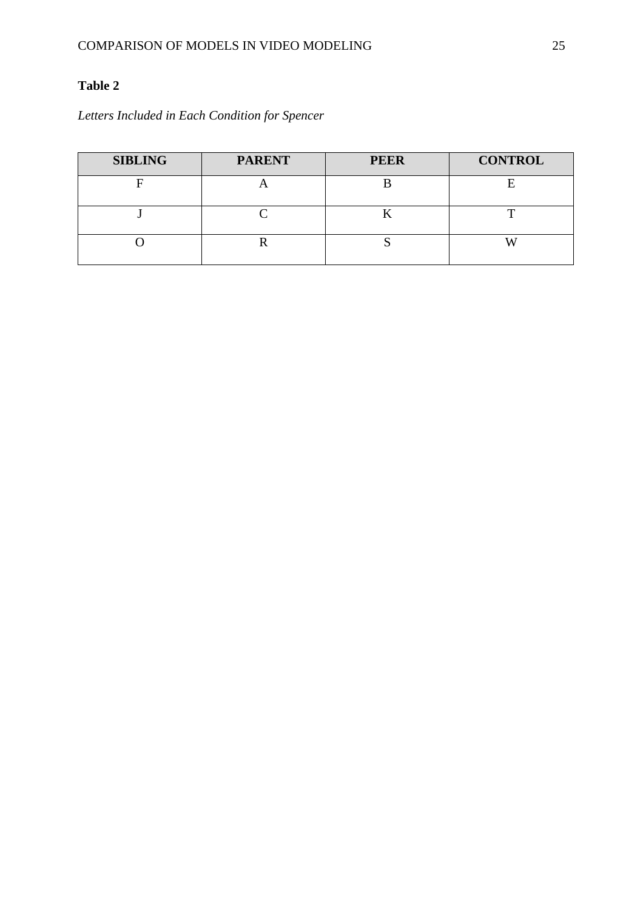## **Table 2**

*Letters Included in Each Condition for Spencer*

| <b>SIBLING</b> | <b>PARENT</b> | <b>PEER</b> | <b>CONTROL</b> |
|----------------|---------------|-------------|----------------|
|                |               |             |                |
|                |               |             |                |
|                |               |             |                |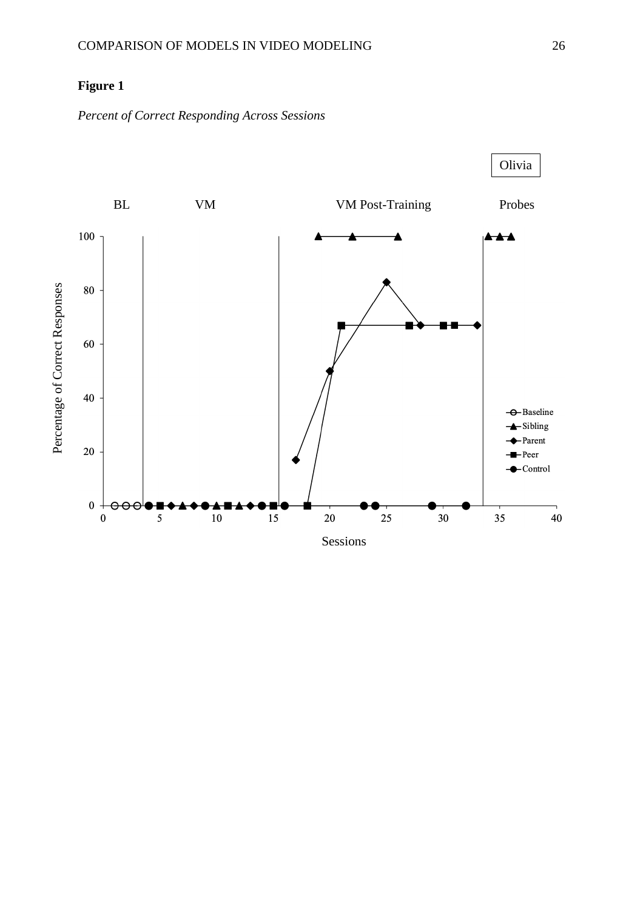## **Figure 1**

*Percent of Correct Responding Across Sessions*

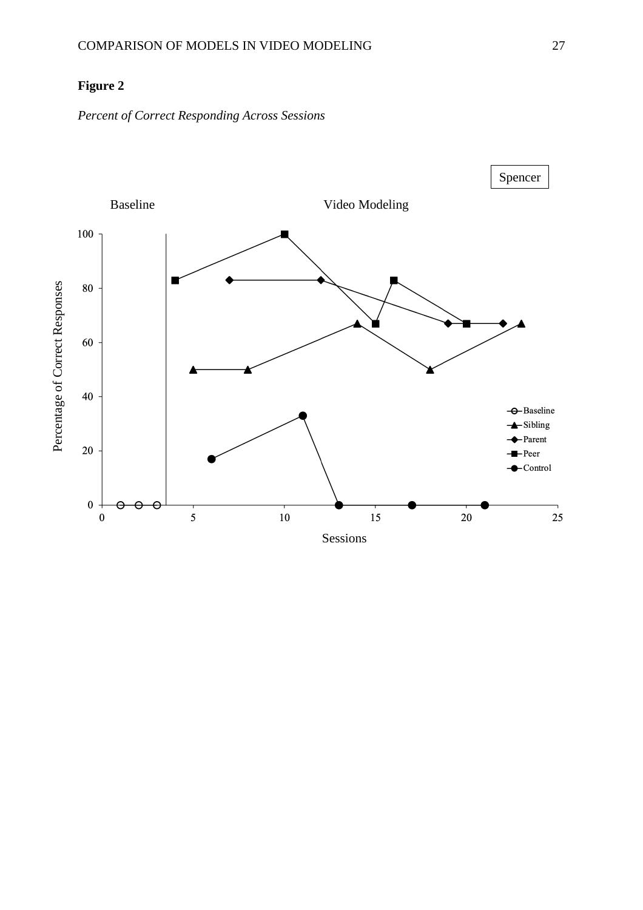## **Figure 2**

*Percent of Correct Responding Across Sessions*

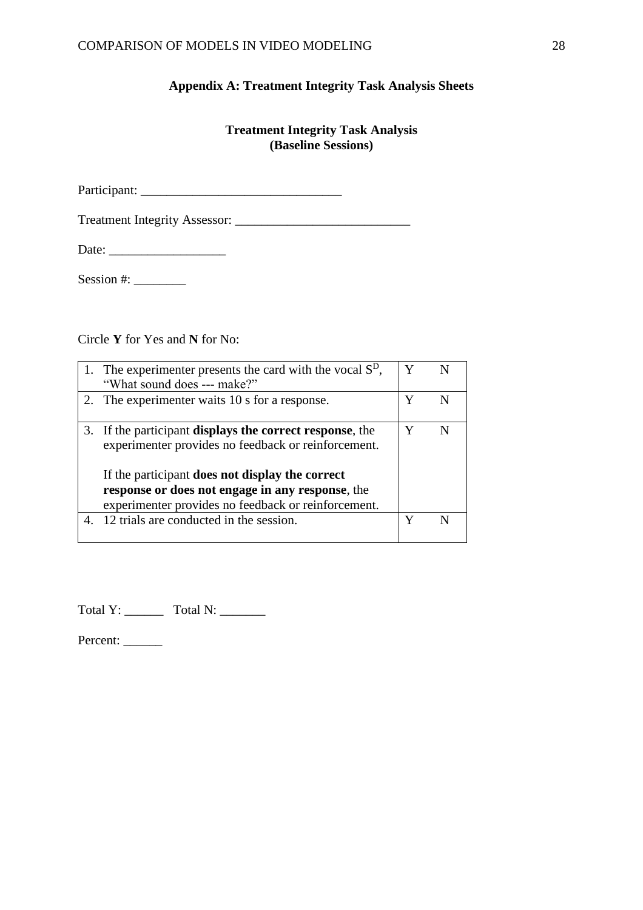### **Appendix A: Treatment Integrity Task Analysis Sheets**

## **Treatment Integrity Task Analysis (Baseline Sessions)**

Participant: \_\_\_\_\_\_\_\_\_\_\_\_\_\_\_\_\_\_\_\_\_\_\_\_\_\_\_\_\_\_\_

Treatment Integrity Assessor: \_\_\_\_\_\_\_\_\_\_\_\_\_\_\_\_\_\_\_\_\_\_\_\_\_\_\_

Date: \_\_\_\_\_\_\_\_\_\_\_\_\_\_\_\_\_\_

Session #: \_\_\_\_\_\_\_\_

Circle **Y** for Yes and **N** for No:

| 1. The experimenter presents the card with the vocal $SD$ ,<br>"What sound does --- make?"                                                                                                                                                                                            |   |  |
|---------------------------------------------------------------------------------------------------------------------------------------------------------------------------------------------------------------------------------------------------------------------------------------|---|--|
| 2. The experimenter waits 10 s for a response.                                                                                                                                                                                                                                        | Y |  |
| 3. If the participant <b>displays the correct response</b> , the<br>experimenter provides no feedback or reinforcement.<br>If the participant does not display the correct<br>response or does not engage in any response, the<br>experimenter provides no feedback or reinforcement. | Y |  |
| 4. 12 trials are conducted in the session.                                                                                                                                                                                                                                            |   |  |

Total Y: \_\_\_\_\_\_ Total N: \_\_\_\_\_\_\_

Percent: \_\_\_\_\_\_\_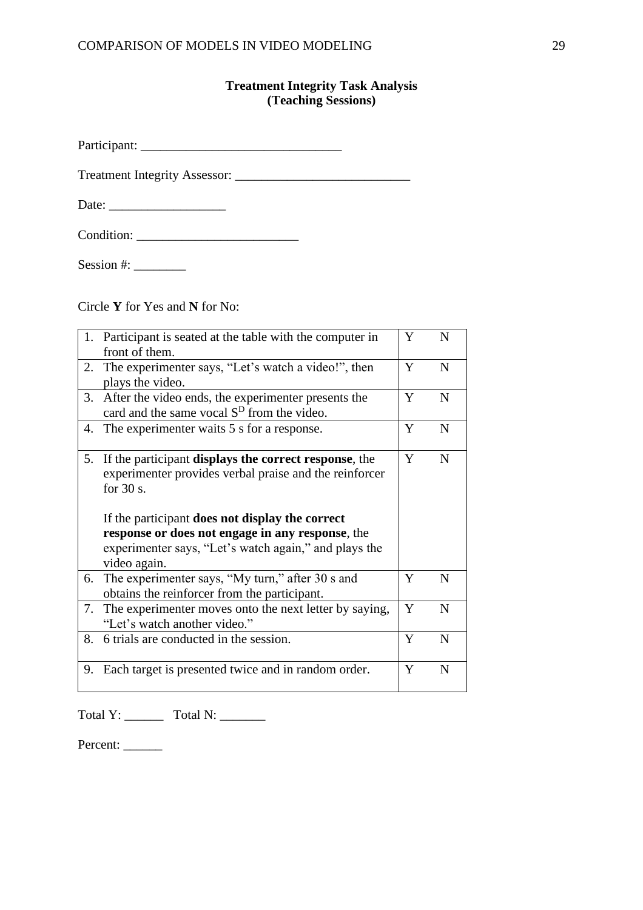## **Treatment Integrity Task Analysis (Teaching Sessions)**

Participant: \_\_\_\_\_\_\_\_\_\_\_\_\_\_\_\_\_\_\_\_\_\_\_\_\_\_\_\_\_\_\_

Treatment Integrity Assessor: \_\_\_\_\_\_\_\_\_\_\_\_\_\_\_\_\_\_\_\_\_\_\_\_\_\_\_

Date: \_\_\_\_\_\_\_\_\_\_\_\_\_\_\_\_\_\_

| Condition: |  |
|------------|--|
|------------|--|

Session #: \_\_\_\_\_\_\_\_

Circle **Y** for Yes and **N** for No:

|    | 1. Participant is seated at the table with the computer in       | Y | N           |
|----|------------------------------------------------------------------|---|-------------|
|    | front of them.                                                   |   |             |
|    | 2. The experimenter says, "Let's watch a video!", then           | Y | $\mathbf N$ |
|    | plays the video.                                                 |   |             |
|    | 3. After the video ends, the experimenter presents the           | Y | $\mathbf N$ |
|    | card and the same vocal S <sup>D</sup> from the video.           |   |             |
| 4. | The experimenter waits 5 s for a response.                       | Y | N           |
|    |                                                                  |   |             |
| 5. | If the participant <b>displays the correct response</b> , the    | Y | N           |
|    | experimenter provides verbal praise and the reinforcer           |   |             |
|    | for $30 s$ .                                                     |   |             |
|    |                                                                  |   |             |
|    |                                                                  |   |             |
|    | If the participant does not display the correct                  |   |             |
|    |                                                                  |   |             |
|    | response or does not engage in any response, the                 |   |             |
|    | experimenter says, "Let's watch again," and plays the            |   |             |
| 6. | video again.<br>The experimenter says, "My turn," after 30 s and | Y | N           |
|    | obtains the reinforcer from the participant.                     |   |             |
| 7. | The experimenter moves onto the next letter by saying,           | Y | $\mathbf N$ |
|    | "Let's watch another video."                                     |   |             |
| 8. | 6 trials are conducted in the session.                           | Y | $\mathbf N$ |
|    |                                                                  |   |             |
|    | 9. Each target is presented twice and in random order.           | Y | $\mathbf N$ |

Total Y: \_\_\_\_\_\_\_\_\_ Total N: \_\_\_\_\_\_\_\_

Percent: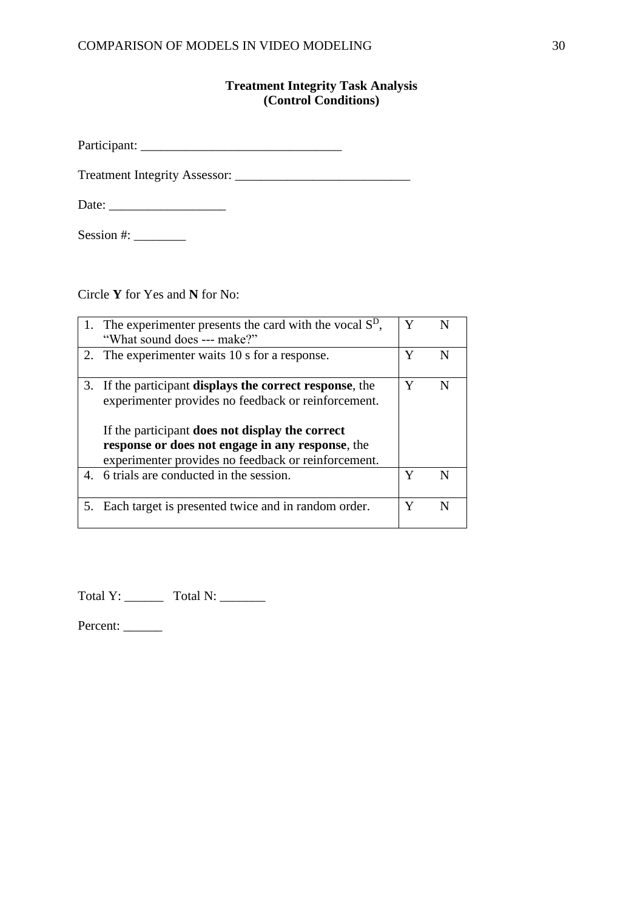### **Treatment Integrity Task Analysis (Control Conditions)**

Participant: \_\_\_\_\_\_\_\_\_\_\_\_\_\_\_\_\_\_\_\_\_\_\_\_\_\_\_\_\_\_\_

Treatment Integrity Assessor: \_\_\_\_\_\_\_\_\_\_\_\_\_\_\_\_\_\_\_\_\_\_\_\_\_\_\_

Date: \_\_\_\_\_\_\_\_\_\_\_\_\_\_\_\_\_\_

Session #: \_\_\_\_\_\_\_\_

Circle **Y** for Yes and **N** for No:

| 1. The experimenter presents the card with the vocal $SD$ ,<br>"What sound does --- make?"                                                                                                                                                                                                   | Y | N |
|----------------------------------------------------------------------------------------------------------------------------------------------------------------------------------------------------------------------------------------------------------------------------------------------|---|---|
| 2. The experimenter waits 10 s for a response.                                                                                                                                                                                                                                               | Y | N |
| 3. If the participant <b>displays the correct response</b> , the<br>experimenter provides no feedback or reinforcement.<br>If the participant <b>does not display the correct</b><br>response or does not engage in any response, the<br>experimenter provides no feedback or reinforcement. | Y | N |
| 4. 6 trials are conducted in the session.                                                                                                                                                                                                                                                    | Y | N |
| 5. Each target is presented twice and in random order.                                                                                                                                                                                                                                       | Y | N |

Total Y: \_\_\_\_\_\_\_\_ Total N: \_\_\_\_\_\_\_

Percent: \_\_\_\_\_\_\_